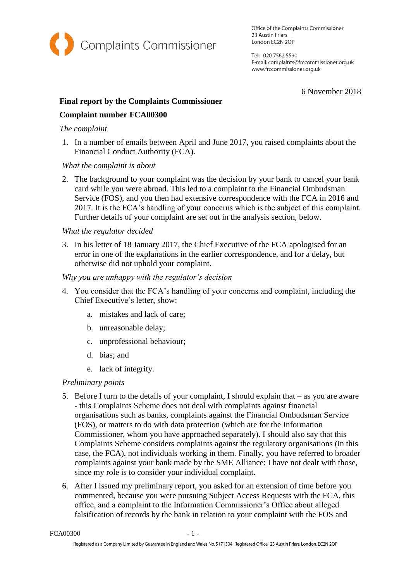

Office of the Complaints Commissioner 23 Austin Friars London EC2N 2QP

Tel: 020 7562 5530 E-mail: complaints@frccommissioner.org.uk www.frccommissioner.org.uk

6 November 2018

# **Final report by the Complaints Commissioner**

# **Complaint number FCA00300**

### *The complaint*

1. In a number of emails between April and June 2017, you raised complaints about the Financial Conduct Authority (FCA).

# *What the complaint is about*

2. The background to your complaint was the decision by your bank to cancel your bank card while you were abroad. This led to a complaint to the Financial Ombudsman Service (FOS), and you then had extensive correspondence with the FCA in 2016 and 2017. It is the FCA's handling of your concerns which is the subject of this complaint. Further details of your complaint are set out in the analysis section, below.

# *What the regulator decided*

3. In his letter of 18 January 2017, the Chief Executive of the FCA apologised for an error in one of the explanations in the earlier correspondence, and for a delay, but otherwise did not uphold your complaint.

# *Why you are unhappy with the regulator's decision*

- 4. You consider that the FCA's handling of your concerns and complaint, including the Chief Executive's letter, show:
	- a. mistakes and lack of care;
	- b. unreasonable delay;
	- c. unprofessional behaviour;
	- d. bias; and
	- e. lack of integrity.

# *Preliminary points*

- 5. Before I turn to the details of your complaint, I should explain that as you are aware - this Complaints Scheme does not deal with complaints against financial organisations such as banks, complaints against the Financial Ombudsman Service (FOS), or matters to do with data protection (which are for the Information Commissioner, whom you have approached separately). I should also say that this Complaints Scheme considers complaints against the regulatory organisations (in this case, the FCA), not individuals working in them. Finally, you have referred to broader complaints against your bank made by the SME Alliance: I have not dealt with those, since my role is to consider your individual complaint.
- 6. After I issued my preliminary report, you asked for an extension of time before you commented, because you were pursuing Subject Access Requests with the FCA, this office, and a complaint to the Information Commissioner's Office about alleged falsification of records by the bank in relation to your complaint with the FOS and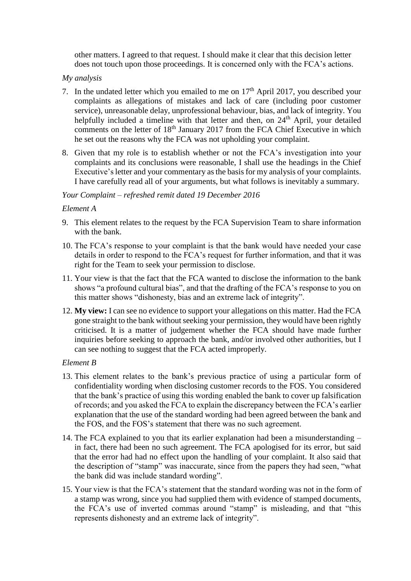other matters. I agreed to that request. I should make it clear that this decision letter does not touch upon those proceedings. It is concerned only with the FCA's actions.

### *My analysis*

- 7. In the undated letter which you emailed to me on  $17<sup>th</sup>$  April 2017, you described your complaints as allegations of mistakes and lack of care (including poor customer service), unreasonable delay, unprofessional behaviour, bias, and lack of integrity. You helpfully included a timeline with that letter and then, on 24<sup>th</sup> April, your detailed comments on the letter of  $18<sup>th</sup>$  January 2017 from the FCA Chief Executive in which he set out the reasons why the FCA was not upholding your complaint.
- 8. Given that my role is to establish whether or not the FCA's investigation into your complaints and its conclusions were reasonable, I shall use the headings in the Chief Executive's letter and your commentary as the basis for my analysis of your complaints. I have carefully read all of your arguments, but what follows is inevitably a summary.

### *Your Complaint – refreshed remit dated 19 December 2016*

#### *Element A*

- 9. This element relates to the request by the FCA Supervision Team to share information with the bank.
- 10. The FCA's response to your complaint is that the bank would have needed your case details in order to respond to the FCA's request for further information, and that it was right for the Team to seek your permission to disclose.
- 11. Your view is that the fact that the FCA wanted to disclose the information to the bank shows "a profound cultural bias", and that the drafting of the FCA's response to you on this matter shows "dishonesty, bias and an extreme lack of integrity".
- 12. **My view:** I can see no evidence to support your allegations on this matter. Had the FCA gone straight to the bank without seeking your permission, they would have been rightly criticised. It is a matter of judgement whether the FCA should have made further inquiries before seeking to approach the bank, and/or involved other authorities, but I can see nothing to suggest that the FCA acted improperly.

### *Element B*

- 13. This element relates to the bank's previous practice of using a particular form of confidentiality wording when disclosing customer records to the FOS. You considered that the bank's practice of using this wording enabled the bank to cover up falsification of records; and you asked the FCA to explain the discrepancy between the FCA's earlier explanation that the use of the standard wording had been agreed between the bank and the FOS, and the FOS's statement that there was no such agreement.
- 14. The FCA explained to you that its earlier explanation had been a misunderstanding in fact, there had been no such agreement. The FCA apologised for its error, but said that the error had had no effect upon the handling of your complaint. It also said that the description of "stamp" was inaccurate, since from the papers they had seen, "what the bank did was include standard wording".
- 15. Your view is that the FCA's statement that the standard wording was not in the form of a stamp was wrong, since you had supplied them with evidence of stamped documents, the FCA's use of inverted commas around "stamp" is misleading, and that "this represents dishonesty and an extreme lack of integrity".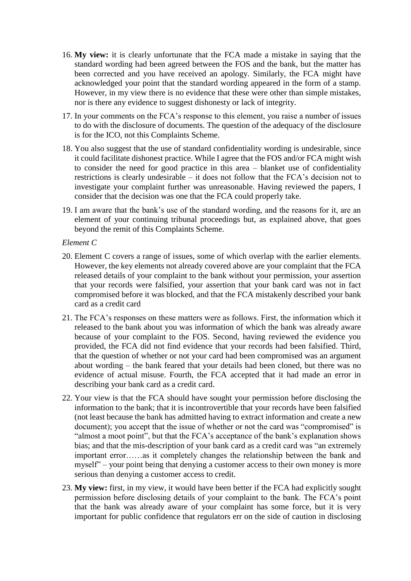- 16. **My view:** it is clearly unfortunate that the FCA made a mistake in saying that the standard wording had been agreed between the FOS and the bank, but the matter has been corrected and you have received an apology. Similarly, the FCA might have acknowledged your point that the standard wording appeared in the form of a stamp. However, in my view there is no evidence that these were other than simple mistakes, nor is there any evidence to suggest dishonesty or lack of integrity.
- 17. In your comments on the FCA's response to this element, you raise a number of issues to do with the disclosure of documents. The question of the adequacy of the disclosure is for the ICO, not this Complaints Scheme.
- 18. You also suggest that the use of standard confidentiality wording is undesirable, since it could facilitate dishonest practice. While I agree that the FOS and/or FCA might wish to consider the need for good practice in this area – blanket use of confidentiality restrictions is clearly undesirable – it does not follow that the FCA's decision not to investigate your complaint further was unreasonable. Having reviewed the papers, I consider that the decision was one that the FCA could properly take.
- 19. I am aware that the bank's use of the standard wording, and the reasons for it, are an element of your continuing tribunal proceedings but, as explained above, that goes beyond the remit of this Complaints Scheme.

### *Element C*

- 20. Element C covers a range of issues, some of which overlap with the earlier elements. However, the key elements not already covered above are your complaint that the FCA released details of your complaint to the bank without your permission, your assertion that your records were falsified, your assertion that your bank card was not in fact compromised before it was blocked, and that the FCA mistakenly described your bank card as a credit card
- 21. The FCA's responses on these matters were as follows. First, the information which it released to the bank about you was information of which the bank was already aware because of your complaint to the FOS. Second, having reviewed the evidence you provided, the FCA did not find evidence that your records had been falsified. Third, that the question of whether or not your card had been compromised was an argument about wording – the bank feared that your details had been cloned, but there was no evidence of actual misuse. Fourth, the FCA accepted that it had made an error in describing your bank card as a credit card.
- 22. Your view is that the FCA should have sought your permission before disclosing the information to the bank; that it is incontrovertible that your records have been falsified (not least because the bank has admitted having to extract information and create a new document); you accept that the issue of whether or not the card was "compromised" is "almost a moot point", but that the FCA's acceptance of the bank's explanation shows bias; and that the mis-description of your bank card as a credit card was "an extremely important error……as it completely changes the relationship between the bank and myself" – your point being that denying a customer access to their own money is more serious than denying a customer access to credit.
- 23. **My view:** first, in my view, it would have been better if the FCA had explicitly sought permission before disclosing details of your complaint to the bank. The FCA's point that the bank was already aware of your complaint has some force, but it is very important for public confidence that regulators err on the side of caution in disclosing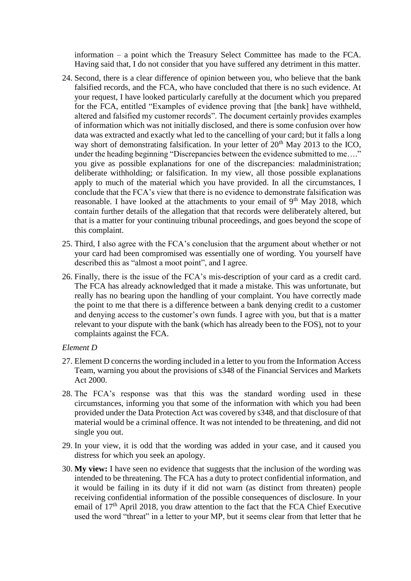information – a point which the Treasury Select Committee has made to the FCA. Having said that, I do not consider that you have suffered any detriment in this matter.

- 24. Second, there is a clear difference of opinion between you, who believe that the bank falsified records, and the FCA, who have concluded that there is no such evidence. At your request, I have looked particularly carefully at the document which you prepared for the FCA, entitled "Examples of evidence proving that [the bank] have withheld, altered and falsified my customer records". The document certainly provides examples of information which was not initially disclosed, and there is some confusion over how data was extracted and exactly what led to the cancelling of your card; but it falls a long way short of demonstrating falsification. In your letter of  $20<sup>th</sup>$  May 2013 to the ICO, under the heading beginning "Discrepancies between the evidence submitted to me...." you give as possible explanations for one of the discrepancies: maladministration; deliberate withholding; or falsification. In my view, all those possible explanations apply to much of the material which you have provided. In all the circumstances, I conclude that the FCA's view that there is no evidence to demonstrate falsification was reasonable. I have looked at the attachments to your email of  $9<sup>th</sup>$  May 2018, which contain further details of the allegation that that records were deliberately altered, but that is a matter for your continuing tribunal proceedings, and goes beyond the scope of this complaint.
- 25. Third, I also agree with the FCA's conclusion that the argument about whether or not your card had been compromised was essentially one of wording. You yourself have described this as "almost a moot point", and I agree.
- 26. Finally, there is the issue of the FCA's mis-description of your card as a credit card. The FCA has already acknowledged that it made a mistake. This was unfortunate, but really has no bearing upon the handling of your complaint. You have correctly made the point to me that there is a difference between a bank denying credit to a customer and denying access to the customer's own funds. I agree with you, but that is a matter relevant to your dispute with the bank (which has already been to the FOS), not to your complaints against the FCA.

#### *Element D*

- 27. Element D concerns the wording included in a letter to you from the Information Access Team, warning you about the provisions of s348 of the Financial Services and Markets Act 2000.
- 28. The FCA's response was that this was the standard wording used in these circumstances, informing you that some of the information with which you had been provided under the Data Protection Act was covered by s348, and that disclosure of that material would be a criminal offence. It was not intended to be threatening, and did not single you out.
- 29. In your view, it is odd that the wording was added in your case, and it caused you distress for which you seek an apology.
- 30. **My view:** I have seen no evidence that suggests that the inclusion of the wording was intended to be threatening. The FCA has a duty to protect confidential information, and it would be failing in its duty if it did not warn (as distinct from threaten) people receiving confidential information of the possible consequences of disclosure. In your email of  $17<sup>th</sup>$  April 2018, you draw attention to the fact that the FCA Chief Executive used the word "threat" in a letter to your MP, but it seems clear from that letter that he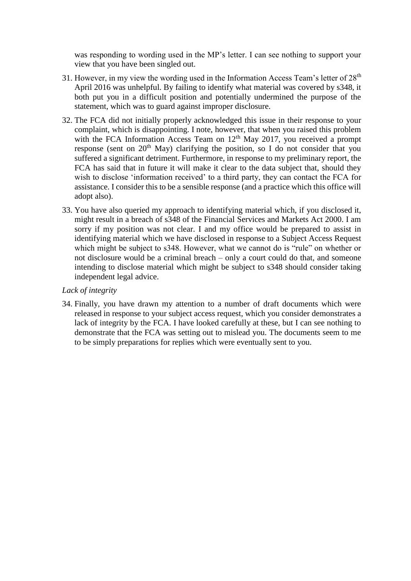was responding to wording used in the MP's letter. I can see nothing to support your view that you have been singled out.

- 31. However, in my view the wording used in the Information Access Team's letter of  $28<sup>th</sup>$ April 2016 was unhelpful. By failing to identify what material was covered by s348, it both put you in a difficult position and potentially undermined the purpose of the statement, which was to guard against improper disclosure.
- 32. The FCA did not initially properly acknowledged this issue in their response to your complaint, which is disappointing. I note, however, that when you raised this problem with the FCA Information Access Team on  $12<sup>th</sup>$  May 2017, you received a prompt response (sent on  $20<sup>th</sup>$  May) clarifying the position, so I do not consider that you suffered a significant detriment. Furthermore, in response to my preliminary report, the FCA has said that in future it will make it clear to the data subject that, should they wish to disclose 'information received' to a third party, they can contact the FCA for assistance. I consider this to be a sensible response (and a practice which this office will adopt also).
- 33. You have also queried my approach to identifying material which, if you disclosed it, might result in a breach of s348 of the Financial Services and Markets Act 2000. I am sorry if my position was not clear. I and my office would be prepared to assist in identifying material which we have disclosed in response to a Subject Access Request which might be subject to s348. However, what we cannot do is "rule" on whether or not disclosure would be a criminal breach – only a court could do that, and someone intending to disclose material which might be subject to s348 should consider taking independent legal advice.

#### *Lack of integrity*

34. Finally, you have drawn my attention to a number of draft documents which were released in response to your subject access request, which you consider demonstrates a lack of integrity by the FCA. I have looked carefully at these, but I can see nothing to demonstrate that the FCA was setting out to mislead you. The documents seem to me to be simply preparations for replies which were eventually sent to you.